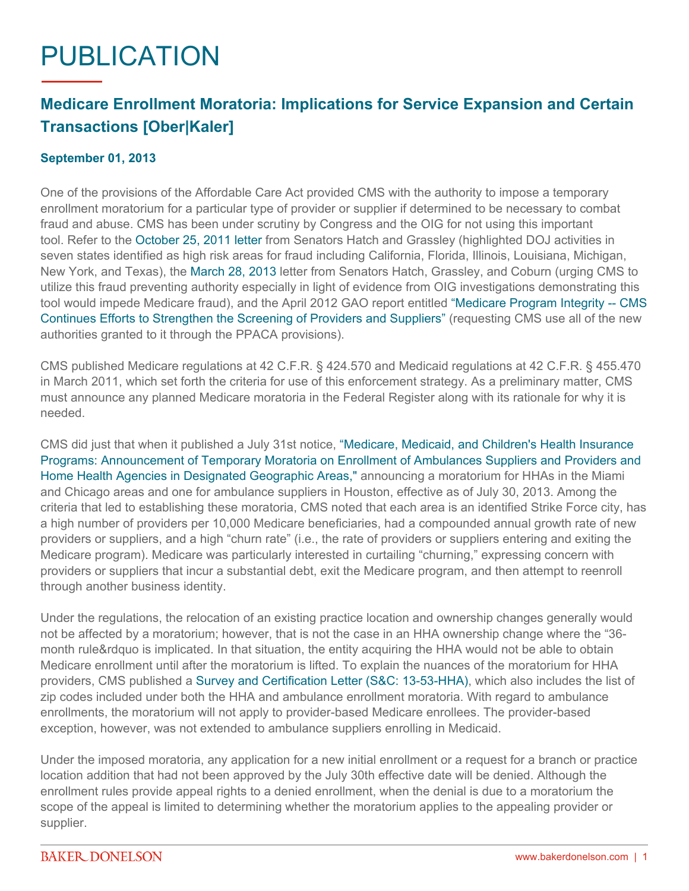## PUBLICATION

## **Medicare Enrollment Moratoria: Implications for Service Expansion and Certain Transactions [Ober|Kaler]**

## **September 01, 2013**

One of the provisions of the Affordable Care Act provided CMS with the authority to impose a temporary enrollment moratorium for a particular type of provider or supplier if determined to be necessary to combat fraud and abuse. CMS has been under scrutiny by Congress and the OIG for not using this important tool. Refer to the [October 25, 2011 letter](http://www.finance.senate.gov/newsroom/ranking/release/?id=f4d925eb-a042-42bc-aff9-9d60b1157f8d) from Senators Hatch and Grassley (highlighted DOJ activities in seven states identified as high risk areas for fraud including California, Florida, Illinois, Louisiana, Michigan, New York, and Texas), the [March 28, 2013](http://www.finance.senate.gov/newsroom/ranking/release/?id=bff00d29-2753-458b-bae5-41ab581bb786) letter from Senators Hatch, Grassley, and Coburn (urging CMS to utilize this fraud preventing authority especially in light of evidence from OIG investigations demonstrating this tool would impede Medicare fraud), and the April 2012 GAO report entitled ["Medicare Program Integrity -- CMS](http://www.gao.gov/products/GAO-12-351)  [Continues Efforts to Strengthen the Screening of Providers and Suppliers"](http://www.gao.gov/products/GAO-12-351) (requesting CMS use all of the new authorities granted to it through the PPACA provisions).

CMS published Medicare regulations at 42 C.F.R. § 424.570 and Medicaid regulations at 42 C.F.R. § 455.470 in March 2011, which set forth the criteria for use of this enforcement strategy. As a preliminary matter, CMS must announce any planned Medicare moratoria in the Federal Register along with its rationale for why it is needed.

CMS did just that when it published a July 31st notice, ["Medicare, Medicaid, and Children's Health Insurance](http://www.gpo.gov/fdsys/pkg/FR-2013-07-31/pdf/2013-18394.pdf)  [Programs: Announcement of Temporary Moratoria on Enrollment of Ambulances Suppliers and Providers and](http://www.gpo.gov/fdsys/pkg/FR-2013-07-31/pdf/2013-18394.pdf)  [Home Health Agencies in Designated Geographic Areas,"](http://www.gpo.gov/fdsys/pkg/FR-2013-07-31/pdf/2013-18394.pdf) announcing a moratorium for HHAs in the Miami and Chicago areas and one for ambulance suppliers in Houston, effective as of July 30, 2013. Among the criteria that led to establishing these moratoria, CMS noted that each area is an identified Strike Force city, has a high number of providers per 10,000 Medicare beneficiaries, had a compounded annual growth rate of new providers or suppliers, and a high "churn rate" (i.e., the rate of providers or suppliers entering and exiting the Medicare program). Medicare was particularly interested in curtailing "churning," expressing concern with providers or suppliers that incur a substantial debt, exit the Medicare program, and then attempt to reenroll through another business identity.

Under the regulations, the relocation of an existing practice location and ownership changes generally would not be affected by a moratorium; however, that is not the case in an HHA ownership change where the "36 month rule&rdquo is implicated. In that situation, the entity acquiring the HHA would not be able to obtain Medicare enrollment until after the moratorium is lifted. To explain the nuances of the moratorium for HHA providers, CMS published a [Survey and Certification Letter \(S&C: 13-53-HHA\)](http://www.cms.gov/Medicare/Provider-Enrollment-and-Certification/SurveyCertificationGenInfo/Downloads/Survey-and-Cert-Letter-13-53.pdf), which also includes the list of zip codes included under both the HHA and ambulance enrollment moratoria. With regard to ambulance enrollments, the moratorium will not apply to provider-based Medicare enrollees. The provider-based exception, however, was not extended to ambulance suppliers enrolling in Medicaid.

Under the imposed moratoria, any application for a new initial enrollment or a request for a branch or practice location addition that had not been approved by the July 30th effective date will be denied. Although the enrollment rules provide appeal rights to a denied enrollment, when the denial is due to a moratorium the scope of the appeal is limited to determining whether the moratorium applies to the appealing provider or supplier.